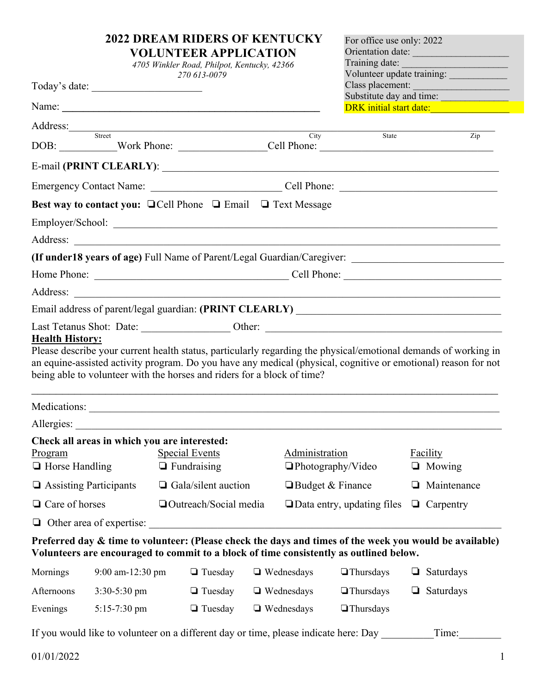|                                                                                  |                                 | <b>2022 DREAM RIDERS OF KENTUCKY</b><br><b>VOLUNTEER APPLICATION</b><br>4705 Winkler Road, Philpot, Kentucky, 42366<br>270 613-0079 |  |                                                                                    | For office use only: 2022<br>Orientation date:<br>Training date:<br>Volunteer update training:                                                                                                    |                  |                           |
|----------------------------------------------------------------------------------|---------------------------------|-------------------------------------------------------------------------------------------------------------------------------------|--|------------------------------------------------------------------------------------|---------------------------------------------------------------------------------------------------------------------------------------------------------------------------------------------------|------------------|---------------------------|
|                                                                                  | Today's date:                   |                                                                                                                                     |  |                                                                                    | Class placement:<br>Substitute day and time:                                                                                                                                                      |                  |                           |
|                                                                                  |                                 |                                                                                                                                     |  |                                                                                    | DRK initial start date:                                                                                                                                                                           |                  |                           |
|                                                                                  |                                 | Address: Street                                                                                                                     |  |                                                                                    |                                                                                                                                                                                                   |                  |                           |
|                                                                                  |                                 |                                                                                                                                     |  | City                                                                               | State<br>DOB: Work Phone: Cell Phone: Cell Phone:                                                                                                                                                 |                  | $\overline{Zip}$          |
|                                                                                  |                                 |                                                                                                                                     |  |                                                                                    |                                                                                                                                                                                                   |                  |                           |
|                                                                                  |                                 |                                                                                                                                     |  |                                                                                    |                                                                                                                                                                                                   |                  |                           |
|                                                                                  |                                 |                                                                                                                                     |  | <b>Best way to contact you:</b> $\Box$ Cell Phone $\Box$ Email $\Box$ Text Message |                                                                                                                                                                                                   |                  |                           |
|                                                                                  |                                 |                                                                                                                                     |  |                                                                                    |                                                                                                                                                                                                   |                  |                           |
|                                                                                  |                                 |                                                                                                                                     |  |                                                                                    |                                                                                                                                                                                                   |                  |                           |
|                                                                                  |                                 |                                                                                                                                     |  |                                                                                    | (If under 18 years of age) Full Name of Parent/Legal Guardian/Caregiver: ___________________________                                                                                              |                  |                           |
|                                                                                  |                                 |                                                                                                                                     |  |                                                                                    |                                                                                                                                                                                                   |                  |                           |
|                                                                                  |                                 |                                                                                                                                     |  |                                                                                    |                                                                                                                                                                                                   |                  |                           |
|                                                                                  |                                 |                                                                                                                                     |  |                                                                                    |                                                                                                                                                                                                   |                  |                           |
|                                                                                  |                                 | being able to volunteer with the horses and riders for a block of time?                                                             |  |                                                                                    | an equine-assisted activity program. Do you have any medical (physical, cognitive or emotional) reason for not                                                                                    |                  |                           |
|                                                                                  |                                 |                                                                                                                                     |  |                                                                                    |                                                                                                                                                                                                   |                  |                           |
| Allergies:                                                                       |                                 |                                                                                                                                     |  |                                                                                    |                                                                                                                                                                                                   |                  |                           |
| Check all areas in which you are interested:<br>Program<br>$\Box$ Horse Handling |                                 | <b>Special Events</b><br>$\Box$ Fundraising                                                                                         |  |                                                                                    | Administration<br>$\Box$ Photography/Video                                                                                                                                                        |                  | Facility<br>$\Box$ Mowing |
| □ Assisting Participants                                                         |                                 | $\Box$ Gala/silent auction                                                                                                          |  | $\Box$ Budget & Finance                                                            |                                                                                                                                                                                                   | ⊔                | Maintenance               |
| $\Box$ Care of horses                                                            |                                 | □ Outreach/Social media                                                                                                             |  |                                                                                    | $\Box$ Data entry, updating files                                                                                                                                                                 | $\Box$ Carpentry |                           |
|                                                                                  | $\Box$ Other area of expertise: |                                                                                                                                     |  |                                                                                    |                                                                                                                                                                                                   |                  |                           |
|                                                                                  |                                 |                                                                                                                                     |  |                                                                                    | Preferred day & time to volunteer: (Please check the days and times of the week you would be available)<br>Volunteers are encouraged to commit to a block of time consistently as outlined below. |                  |                           |
| Mornings                                                                         | 9:00 am-12:30 pm                | $\Box$ Tuesday                                                                                                                      |  | $\Box$ Wednesdays                                                                  | $\Box$ Thursdays                                                                                                                                                                                  | ⊔                | Saturdays                 |
| Afternoons                                                                       | $3:30-5:30$ pm                  | $\Box$ Tuesday                                                                                                                      |  | $\Box$ Wednesdays                                                                  | $\Box$ Thursdays                                                                                                                                                                                  | $\Box$           | Saturdays                 |
| Evenings                                                                         | 5:15-7:30 pm                    | $\Box$ Tuesday                                                                                                                      |  | $\Box$ Wednesdays                                                                  | $\Box$ Thursdays                                                                                                                                                                                  |                  |                           |
|                                                                                  |                                 |                                                                                                                                     |  |                                                                                    | If you would like to volunteer on a different day or time, please indicate here: Day                                                                                                              |                  | Time:                     |
| 01/01/2022                                                                       |                                 |                                                                                                                                     |  |                                                                                    |                                                                                                                                                                                                   |                  |                           |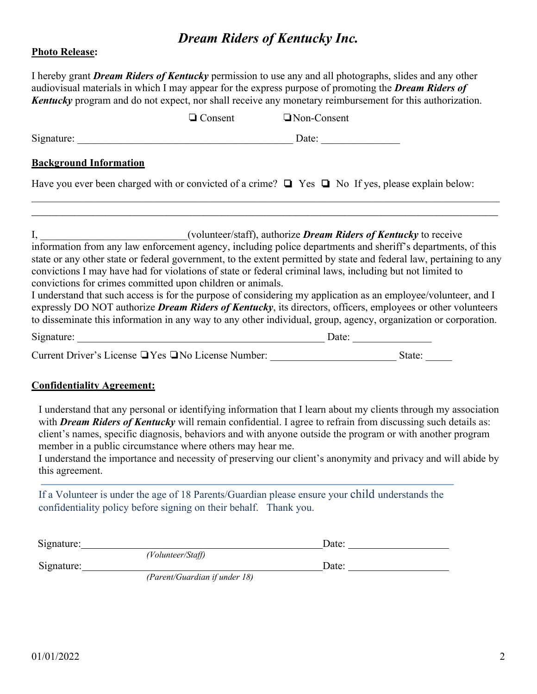# *Dream Riders of Kentucky Inc.*

#### **Photo Release:**

I hereby grant *Dream Riders of Kentucky* permission to use any and all photographs, slides and any other audiovisual materials in which I may appear for the express purpose of promoting the *Dream Riders of Kentucky* program and do not expect, nor shall receive any monetary reimbursement for this authorization.

|                                                                                                                                                                                                                                                                                                                                                                                                                                                                                                                                         | $\Box$ Consent | Non-Consent |  |
|-----------------------------------------------------------------------------------------------------------------------------------------------------------------------------------------------------------------------------------------------------------------------------------------------------------------------------------------------------------------------------------------------------------------------------------------------------------------------------------------------------------------------------------------|----------------|-------------|--|
|                                                                                                                                                                                                                                                                                                                                                                                                                                                                                                                                         |                |             |  |
| <b>Background Information</b>                                                                                                                                                                                                                                                                                                                                                                                                                                                                                                           |                |             |  |
| Have you ever been charged with or convicted of a crime? $\Box$ Yes $\Box$ No If yes, please explain below:                                                                                                                                                                                                                                                                                                                                                                                                                             |                |             |  |
|                                                                                                                                                                                                                                                                                                                                                                                                                                                                                                                                         |                |             |  |
| state or any other state or federal government, to the extent permitted by state and federal law, pertaining to any<br>convictions I may have had for violations of state or federal criminal laws, including but not limited to<br>convictions for crimes committed upon children or animals.<br>I understand that such access is for the purpose of considering my application as an employee/volunteer, and I<br>expressly DO NOT authorize <i>Dream Riders of Kentucky</i> , its directors, officers, employees or other volunteers |                |             |  |
| to disseminate this information in any way to any other individual, group, agency, organization or corporation.                                                                                                                                                                                                                                                                                                                                                                                                                         |                |             |  |
| Signature: Date: Date:                                                                                                                                                                                                                                                                                                                                                                                                                                                                                                                  |                |             |  |
|                                                                                                                                                                                                                                                                                                                                                                                                                                                                                                                                         |                |             |  |
| <b>Confidentiality Agreement:</b>                                                                                                                                                                                                                                                                                                                                                                                                                                                                                                       |                |             |  |

I understand that any personal or identifying information that I learn about my clients through my association with **Dream Riders of Kentucky** will remain confidential. I agree to refrain from discussing such details as: client's names, specific diagnosis, behaviors and with anyone outside the program or with another program member in a public circumstance where others may hear me.

I understand the importance and necessity of preserving our client's anonymity and privacy and will abide by this agreement.

If a Volunteer is under the age of 18 Parents/Guardian please ensure your child understands the confidentiality policy before signing on their behalf. Thank you.

| Signature: |                   | Date: |  |
|------------|-------------------|-------|--|
|            | (Volunteer/Staff) |       |  |
| Signature: |                   | Date: |  |

*(Parent/Guardian if under 18)*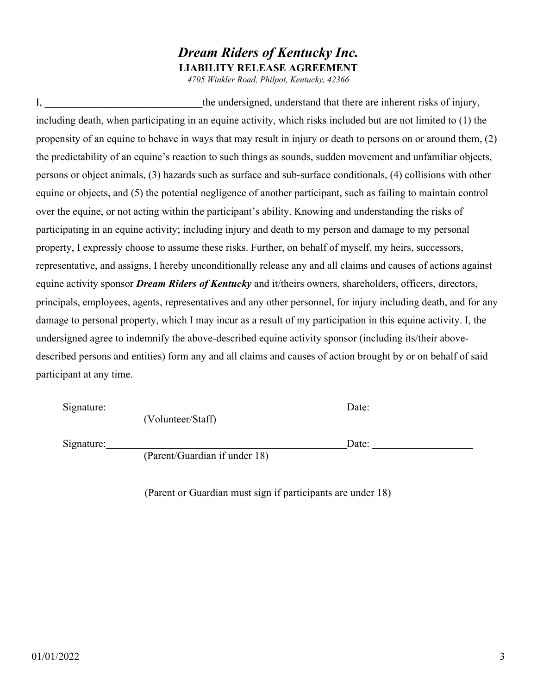### *Dream Riders of Kentucky Inc.* **LIABILITY RELEASE AGREEMENT**

*4705 Winkler Road, Philpot, Kentucky, 42366*

I, the undersigned, understand that there are inherent risks of injury, including death, when participating in an equine activity, which risks included but are not limited to (1) the propensity of an equine to behave in ways that may result in injury or death to persons on or around them, (2) the predictability of an equine's reaction to such things as sounds, sudden movement and unfamiliar objects, persons or object animals, (3) hazards such as surface and sub-surface conditionals, (4) collisions with other equine or objects, and (5) the potential negligence of another participant, such as failing to maintain control over the equine, or not acting within the participant's ability. Knowing and understanding the risks of participating in an equine activity; including injury and death to my person and damage to my personal property, I expressly choose to assume these risks. Further, on behalf of myself, my heirs, successors, representative, and assigns, I hereby unconditionally release any and all claims and causes of actions against equine activity sponsor *Dream Riders of Kentucky* and it/theirs owners, shareholders, officers, directors, principals, employees, agents, representatives and any other personnel, for injury including death, and for any damage to personal property, which I may incur as a result of my participation in this equine activity. I, the undersigned agree to indemnify the above-described equine activity sponsor (including its/their abovedescribed persons and entities) form any and all claims and causes of action brought by or on behalf of said participant at any time.

Signature: Date:

Signature: Date: Date: Date:

(Parent/Guardian if under 18)

(Volunteer/Staff)

(Parent or Guardian must sign if participants are under 18)